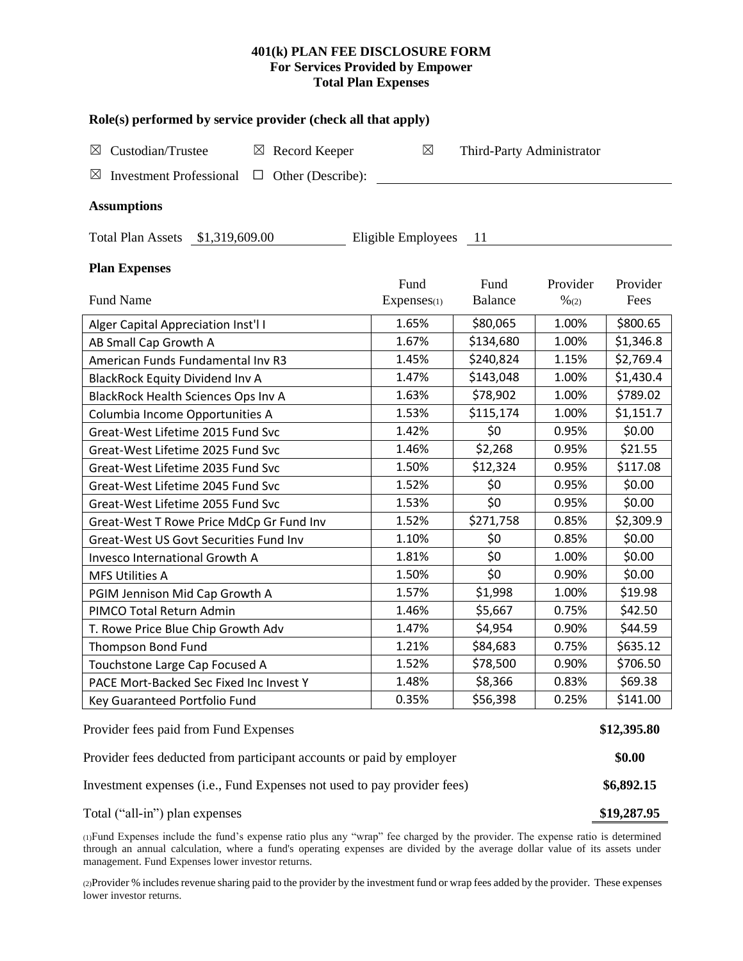## **401(k) PLAN FEE DISCLOSURE FORM For Services Provided by Empower Total Plan Expenses**

| Role(s) performed by service provider (check all that apply)              |             |                           |                  |           |  |  |  |  |  |  |
|---------------------------------------------------------------------------|-------------|---------------------------|------------------|-----------|--|--|--|--|--|--|
| Custodian/Trustee<br>$\boxtimes$ Record Keeper<br>⊠                       | $\boxtimes$ | Third-Party Administrator |                  |           |  |  |  |  |  |  |
| $\boxtimes$<br><b>Investment Professional</b><br>$\Box$ Other (Describe): |             |                           |                  |           |  |  |  |  |  |  |
| <b>Assumptions</b>                                                        |             |                           |                  |           |  |  |  |  |  |  |
| Total Plan Assets \$1,319,609.00<br>Eligible Employees<br>$\overline{11}$ |             |                           |                  |           |  |  |  |  |  |  |
| <b>Plan Expenses</b>                                                      | Fund        | Fund                      | Provider         | Provider  |  |  |  |  |  |  |
| Fund Name                                                                 | Expenses(1) | <b>Balance</b>            | $\frac{9}{6(2)}$ | Fees      |  |  |  |  |  |  |
| Alger Capital Appreciation Inst'l I                                       | 1.65%       | \$80,065                  | 1.00%            | \$800.65  |  |  |  |  |  |  |
| AB Small Cap Growth A                                                     | 1.67%       | \$134,680                 | 1.00%            | \$1,346.8 |  |  |  |  |  |  |
| American Funds Fundamental Inv R3                                         | 1.45%       | \$240,824                 | 1.15%            | \$2,769.4 |  |  |  |  |  |  |
| <b>BlackRock Equity Dividend Inv A</b>                                    | 1.47%       | \$143,048                 | 1.00%            | \$1,430.4 |  |  |  |  |  |  |
| <b>BlackRock Health Sciences Ops Inv A</b>                                | 1.63%       | \$78,902                  | 1.00%            | \$789.02  |  |  |  |  |  |  |
| Columbia Income Opportunities A                                           | 1.53%       | \$115,174                 | 1.00%            | \$1,151.7 |  |  |  |  |  |  |
| Great-West Lifetime 2015 Fund Svc                                         | 1.42%       | \$0                       | 0.95%            | \$0.00    |  |  |  |  |  |  |
| Great-West Lifetime 2025 Fund Svc                                         | 1.46%       | \$2,268                   | 0.95%            | \$21.55   |  |  |  |  |  |  |
| Great-West Lifetime 2035 Fund Svc                                         | 1.50%       | \$12,324                  | 0.95%            | \$117.08  |  |  |  |  |  |  |
| Great-West Lifetime 2045 Fund Svc                                         | 1.52%       | \$0                       | 0.95%            | \$0.00    |  |  |  |  |  |  |
| Great-West Lifetime 2055 Fund Svc                                         | 1.53%       | \$0                       | 0.95%            | \$0.00    |  |  |  |  |  |  |
| Great-West T Rowe Price MdCp Gr Fund Inv                                  | 1.52%       | \$271,758                 | 0.85%            | \$2,309.9 |  |  |  |  |  |  |
| Great-West US Govt Securities Fund Inv                                    | 1.10%       | \$0                       | 0.85%            | \$0.00    |  |  |  |  |  |  |
| Invesco International Growth A                                            | 1.81%       | \$0                       | 1.00%            | \$0.00    |  |  |  |  |  |  |
| <b>MFS Utilities A</b>                                                    | 1.50%       | \$0                       | 0.90%            | \$0.00    |  |  |  |  |  |  |
| PGIM Jennison Mid Cap Growth A                                            | 1.57%       | \$1,998                   | 1.00%            | \$19.98   |  |  |  |  |  |  |
| PIMCO Total Return Admin                                                  | 1.46%       | \$5,667                   | 0.75%            | \$42.50   |  |  |  |  |  |  |
| T. Rowe Price Blue Chip Growth Adv                                        | 1.47%       | \$4,954                   | 0.90%            | \$44.59   |  |  |  |  |  |  |
| <b>Thompson Bond Fund</b>                                                 | 1.21%       | \$84,683                  | 0.75%            | \$635.12  |  |  |  |  |  |  |
| Touchstone Large Cap Focused A                                            | 1.52%       | \$78,500                  | 0.90%            | \$706.50  |  |  |  |  |  |  |
| PACE Mort-Backed Sec Fixed Inc Invest Y                                   | 1.48%       | \$8,366                   | 0.83%            | \$69.38   |  |  |  |  |  |  |
| Key Guaranteed Portfolio Fund                                             | 0.35%       | \$56,398                  | 0.25%            | \$141.00  |  |  |  |  |  |  |
| Provider fees paid from Fund Expenses                                     |             |                           |                  |           |  |  |  |  |  |  |
| Provider fees deducted from participant accounts or paid by employer      |             |                           |                  |           |  |  |  |  |  |  |
| Investment expenses (i.e., Fund Expenses not used to pay provider fees)   |             |                           |                  |           |  |  |  |  |  |  |

Total ("all-in") plan expenses **\$19,287.95**

(1)Fund Expenses include the fund's expense ratio plus any "wrap" fee charged by the provider. The expense ratio is determined through an annual calculation, where a fund's operating expenses are divided by the average dollar value of its assets under management. Fund Expenses lower investor returns.

(2)Provider % includes revenue sharing paid to the provider by the investment fund or wrap fees added by the provider. These expenses lower investor returns.